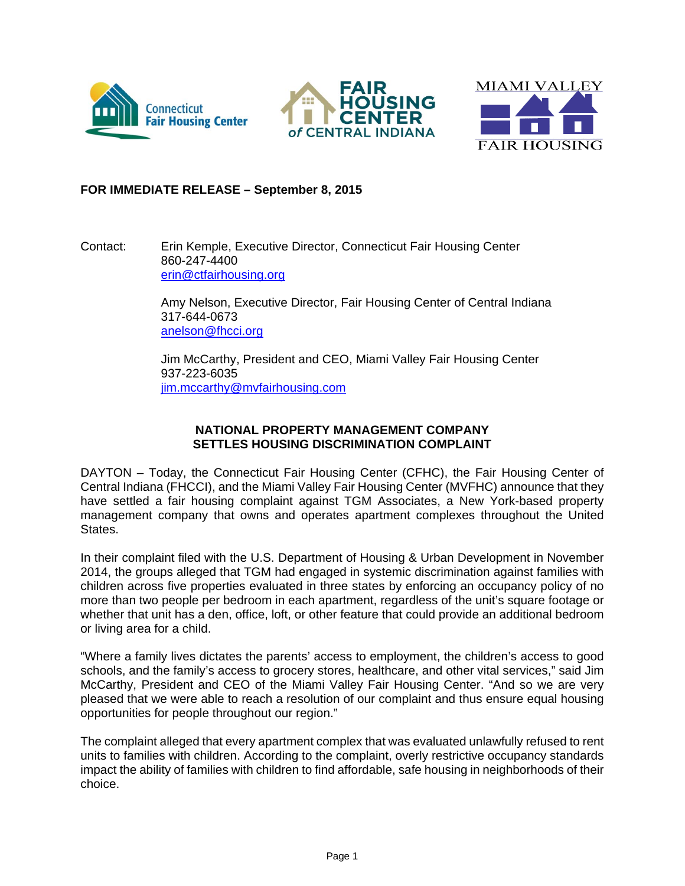





## **FOR IMMEDIATE RELEASE – September 8, 2015**

Contact: Erin Kemple, Executive Director, Connecticut Fair Housing Center 860-247-4400 erin@ctfairhousing.org

> Amy Nelson, Executive Director, Fair Housing Center of Central Indiana 317-644-0673 anelson@fhcci.org

Jim McCarthy, President and CEO, Miami Valley Fair Housing Center 937-223-6035 jim.mccarthy@mvfairhousing.com

## **NATIONAL PROPERTY MANAGEMENT COMPANY SETTLES HOUSING DISCRIMINATION COMPLAINT**

DAYTON – Today, the Connecticut Fair Housing Center (CFHC), the Fair Housing Center of Central Indiana (FHCCI), and the Miami Valley Fair Housing Center (MVFHC) announce that they have settled a fair housing complaint against TGM Associates, a New York-based property management company that owns and operates apartment complexes throughout the United States.

In their complaint filed with the U.S. Department of Housing & Urban Development in November 2014, the groups alleged that TGM had engaged in systemic discrimination against families with children across five properties evaluated in three states by enforcing an occupancy policy of no more than two people per bedroom in each apartment, regardless of the unit's square footage or whether that unit has a den, office, loft, or other feature that could provide an additional bedroom or living area for a child.

"Where a family lives dictates the parents' access to employment, the children's access to good schools, and the family's access to grocery stores, healthcare, and other vital services," said Jim McCarthy, President and CEO of the Miami Valley Fair Housing Center. "And so we are very pleased that we were able to reach a resolution of our complaint and thus ensure equal housing opportunities for people throughout our region."

The complaint alleged that every apartment complex that was evaluated unlawfully refused to rent units to families with children. According to the complaint, overly restrictive occupancy standards impact the ability of families with children to find affordable, safe housing in neighborhoods of their choice.